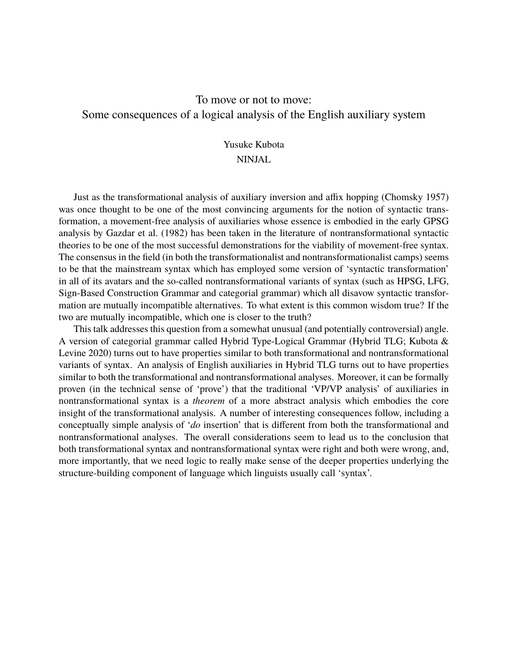# To move or not to move: Some consequences of a logical analysis of the English auxiliary system

## Yusuke Kubota

### NINJAL

Just as the transformational analysis of auxiliary inversion and affix hopping (Chomsky 1957) was once thought to be one of the most convincing arguments for the notion of syntactic transformation, a movement-free analysis of auxiliaries whose essence is embodied in the early GPSG analysis by Gazdar et al. (1982) has been taken in the literature of nontransformational syntactic theories to be one of the most successful demonstrations for the viability of movement-free syntax. The consensus in the field (in both the transformationalist and nontransformationalist camps) seems to be that the mainstream syntax which has employed some version of 'syntactic transformation' in all of its avatars and the so-called nontransformational variants of syntax (such as HPSG, LFG, Sign-Based Construction Grammar and categorial grammar) which all disavow syntactic transformation are mutually incompatible alternatives. To what extent is this common wisdom true? If the two are mutually incompatible, which one is closer to the truth?

This talk addresses this question from a somewhat unusual (and potentially controversial) angle. A version of categorial grammar called Hybrid Type-Logical Grammar (Hybrid TLG; Kubota & Levine 2020) turns out to have properties similar to both transformational and nontransformational variants of syntax. An analysis of English auxiliaries in Hybrid TLG turns out to have properties similar to both the transformational and nontransformational analyses. Moreover, it can be formally proven (in the technical sense of 'prove') that the traditional 'VP/VP analysis' of auxiliaries in nontransformational syntax is a *theorem* of a more abstract analysis which embodies the core insight of the transformational analysis. A number of interesting consequences follow, including a conceptually simple analysis of '*do* insertion' that is different from both the transformational and nontransformational analyses. The overall considerations seem to lead us to the conclusion that both transformational syntax and nontransformational syntax were right and both were wrong, and, more importantly, that we need logic to really make sense of the deeper properties underlying the structure-building component of language which linguists usually call 'syntax'.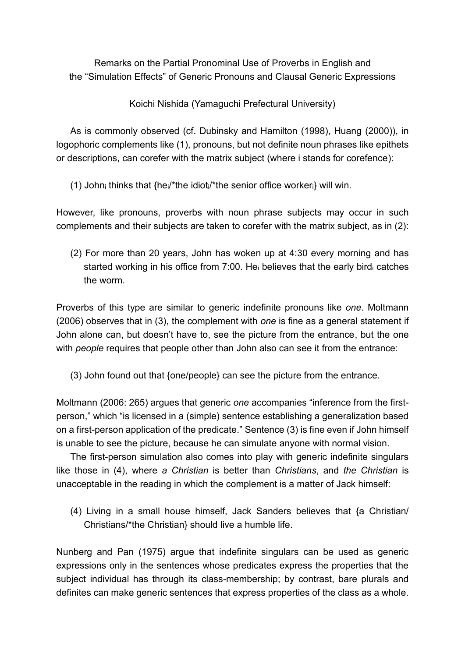Remarks on the Partial Pronominal Use of Proverbs in English and the "Simulation Effects" of Generic Pronouns and Clausal Generic Expressions

Koichi Nishida (Yamaguchi Prefectural University)

As is commonly observed (cf. Dubinsky and Hamilton (1998), Huang (2000)), in logophoric complements like (1), pronouns, but not definite noun phrases like epithets or descriptions, can corefer with the matrix subject (where i stands for corefence):

(1) John<sup>i</sup> thinks that {hei/\*the idioti/\*the senior office workeri} will win.

However, like pronouns, proverbs with noun phrase subjects may occur in such complements and their subjects are taken to corefer with the matrix subject, as in (2):

(2) For more than 20 years, John has woken up at 4:30 every morning and has started working in his office from 7:00. He believes that the early bird catches the worm.

Proverbs of this type are similar to generic indefinite pronouns like *one*. Moltmann (2006) observes that in (3), the complement with *one* is fine as a general statement if John alone can, but doesn't have to, see the picture from the entrance, but the one with *people* requires that people other than John also can see it from the entrance:

(3) John found out that {one/people} can see the picture from the entrance.

Moltmann (2006: 265) argues that generic *one* accompanies "inference from the firstperson," which "is licensed in a (simple) sentence establishing a generalization based on a first-person application of the predicate." Sentence (3) is fine even if John himself is unable to see the picture, because he can simulate anyone with normal vision.

The first-person simulation also comes into play with generic indefinite singulars like those in (4), where *a Christian* is better than *Christians*, and *the Christian* is unacceptable in the reading in which the complement is a matter of Jack himself:

(4) Living in a small house himself, Jack Sanders believes that {a Christian/ Christians/\*the Christian} should live a humble life.

Nunberg and Pan (1975) argue that indefinite singulars can be used as generic expressions only in the sentences whose predicates express the properties that the subject individual has through its class-membership; by contrast, bare plurals and definites can make generic sentences that express properties of the class as a whole.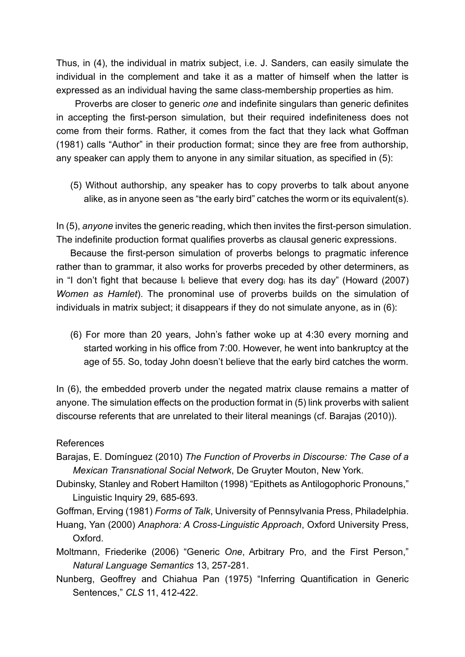Thus, in (4), the individual in matrix subject, i.e. J. Sanders, can easily simulate the individual in the complement and take it as a matter of himself when the latter is expressed as an individual having the same class-membership properties as him.

Proverbs are closer to generic *one* and indefinite singulars than generic definites in accepting the first-person simulation, but their required indefiniteness does not come from their forms. Rather, it comes from the fact that they lack what Goffman (1981) calls "Author" in their production format; since they are free from authorship, any speaker can apply them to anyone in any similar situation, as specified in (5):

(5) Without authorship, any speaker has to copy proverbs to talk about anyone alike, as in anyone seen as "the early bird" catches the worm or its equivalent(s).

In (5), *anyone* invites the generic reading, which then invites the first-person simulation. The indefinite production format qualifies proverbs as clausal generic expressions.

Because the first-person simulation of proverbs belongs to pragmatic inference rather than to grammar, it also works for proverbs preceded by other determiners, as in "I don't fight that because I<sup>i</sup> believe that every dog<sup>i</sup> has its day" (Howard (2007) *Women as Hamlet*). The pronominal use of proverbs builds on the simulation of individuals in matrix subject; it disappears if they do not simulate anyone, as in (6):

(6) For more than 20 years, John's father woke up at 4:30 every morning and started working in his office from 7:00. However, he went into bankruptcy at the age of 55. So, today John doesn't believe that the early bird catches the worm.

In (6), the embedded proverb under the negated matrix clause remains a matter of anyone. The simulation effects on the production format in (5) link proverbs with salient discourse referents that are unrelated to their literal meanings (cf. Barajas (2010)).

## References

- Barajas, E. Domínguez (2010) *The Function of Proverbs in Discourse: The Case of a Mexican Transnational Social Network*, De Gruyter Mouton, New York.
- Dubinsky, Stanley and Robert Hamilton (1998) "Epithets as Antilogophoric Pronouns," Linguistic Inquiry 29, 685-693.

Goffman, Erving (1981) *Forms of Talk*, University of Pennsylvania Press, Philadelphia.

- Huang, Yan (2000) *Anaphora: A Cross-Linguistic Approach*, Oxford University Press, Oxford.
- Moltmann, Friederike (2006) "Generic *One*, Arbitrary Pro, and the First Person," *Natural Language Semantics* 13, 257-281.
- Nunberg, Geoffrey and Chiahua Pan (1975) "Inferring Quantification in Generic Sentences," *CLS* 11, 412-422.